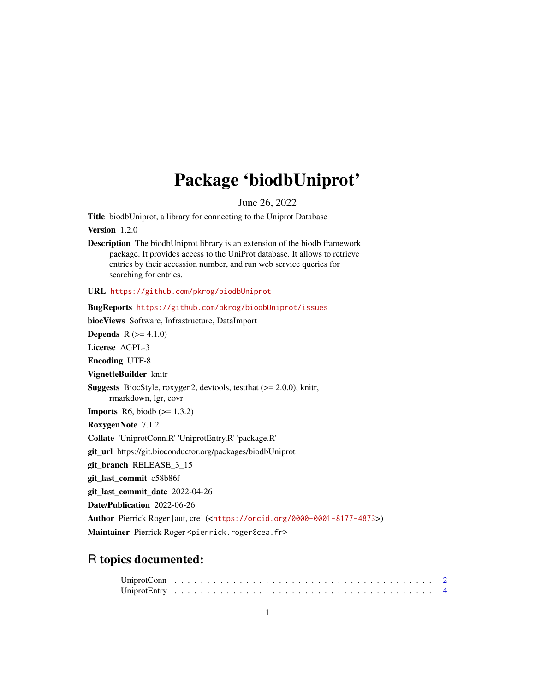## Package 'biodbUniprot'

June 26, 2022

<span id="page-0-0"></span>Title biodbUniprot, a library for connecting to the Uniprot Database

Version 1.2.0

Description The biodbUniprot library is an extension of the biodb framework package. It provides access to the UniProt database. It allows to retrieve entries by their accession number, and run web service queries for searching for entries.

URL <https://github.com/pkrog/biodbUniprot>

BugReports <https://github.com/pkrog/biodbUniprot/issues> biocViews Software, Infrastructure, DataImport **Depends**  $R (= 4.1.0)$ License AGPL-3 Encoding UTF-8 VignetteBuilder knitr Suggests BiocStyle, roxygen2, devtools, testthat (>= 2.0.0), knitr, rmarkdown, lgr, covr **Imports** R6, biodb  $(>= 1.3.2)$ RoxygenNote 7.1.2 Collate 'UniprotConn.R' 'UniprotEntry.R' 'package.R' git\_url https://git.bioconductor.org/packages/biodbUniprot git\_branch RELEASE\_3\_15 git\_last\_commit c58b86f git\_last\_commit\_date 2022-04-26 Date/Publication 2022-06-26 Author Pierrick Roger [aut, cre] (<<https://orcid.org/0000-0001-8177-4873>>) Maintainer Pierrick Roger <pierrick.roger@cea.fr>

### R topics documented: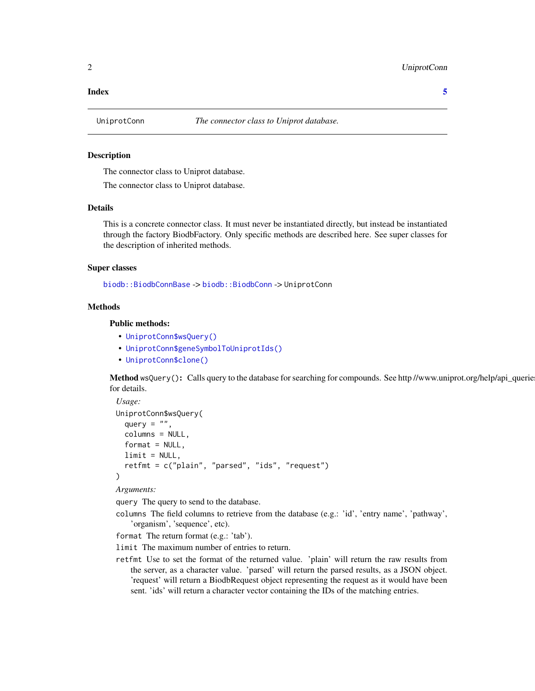#### <span id="page-1-0"></span>**Index** [5](#page-4-0). The second state of the second state of the second state of the second state of the second state of the second state of the second state of the second state of the second state of the second state of the second

#### Description

The connector class to Uniprot database.

The connector class to Uniprot database.

#### Details

This is a concrete connector class. It must never be instantiated directly, but instead be instantiated through the factory BiodbFactory. Only specific methods are described here. See super classes for the description of inherited methods.

#### Super classes

[biodb::BiodbConnBase](#page-0-0) -> [biodb::BiodbConn](#page-0-0) -> UniprotConn

#### Methods

#### Public methods:

- [UniprotConn\\$wsQuery\(\)](#page-1-1)
- [UniprotConn\\$geneSymbolToUniprotIds\(\)](#page-2-0)
- [UniprotConn\\$clone\(\)](#page-2-1)

<span id="page-1-1"></span>Method wsQuery(): Calls query to the database for searching for compounds. See http //www.uniprot.org/help/api\_querie for details.

```
Usage:
UniprotConn$wsQuery(
  query = ",
  columns = NULL,
  format = NULL,
  limit = NULL,
  retfmt = c("plain", "parsed", "ids", "request")
)
```
*Arguments:*

query The query to send to the database.

columns The field columns to retrieve from the database (e.g.: 'id', 'entry name', 'pathway', 'organism', 'sequence', etc).

format The return format (e.g.: 'tab').

limit The maximum number of entries to return.

retfmt Use to set the format of the returned value. 'plain' will return the raw results from the server, as a character value. 'parsed' will return the parsed results, as a JSON object. 'request' will return a BiodbRequest object representing the request as it would have been sent. 'ids' will return a character vector containing the IDs of the matching entries.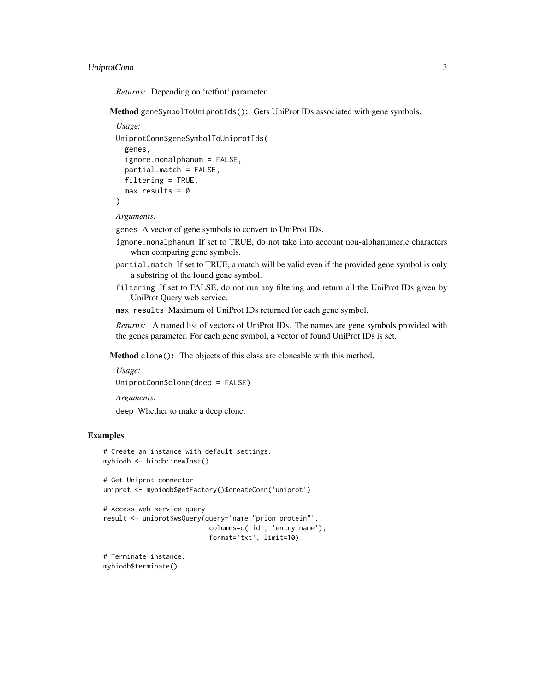#### UniprotConn 3

*Returns:* Depending on 'retfmt' parameter.

<span id="page-2-0"></span>Method geneSymbolToUniprotIds(): Gets UniProt IDs associated with gene symbols.

#### *Usage:*

```
UniprotConn$geneSymbolToUniprotIds(
 genes,
  ignore.nonalphanum = FALSE,
 partial.match = FALSE,
 filtering = TRUE,
 max. results = 0)
```
*Arguments:*

genes A vector of gene symbols to convert to UniProt IDs.

- ignore.nonalphanum If set to TRUE, do not take into account non-alphanumeric characters when comparing gene symbols.
- partial.match If set to TRUE, a match will be valid even if the provided gene symbol is only a substring of the found gene symbol.
- filtering If set to FALSE, do not run any filtering and return all the UniProt IDs given by UniProt Query web service.
- max.results Maximum of UniProt IDs returned for each gene symbol.

*Returns:* A named list of vectors of UniProt IDs. The names are gene symbols provided with the genes parameter. For each gene symbol, a vector of found UniProt IDs is set.

<span id="page-2-1"></span>Method clone(): The objects of this class are cloneable with this method.

```
Usage:
UniprotConn$clone(deep = FALSE)
```
*Arguments:*

deep Whether to make a deep clone.

#### Examples

```
# Create an instance with default settings:
mybiodb <- biodb::newInst()
```

```
# Get Uniprot connector
uniprot <- mybiodb$getFactory()$createConn('uniprot')
```

```
# Access web service query
result <- uniprot$wsQuery(query='name:"prion protein"',
                           columns=c('id', 'entry name'),
                           format='txt', limit=10)
```
# Terminate instance. mybiodb\$terminate()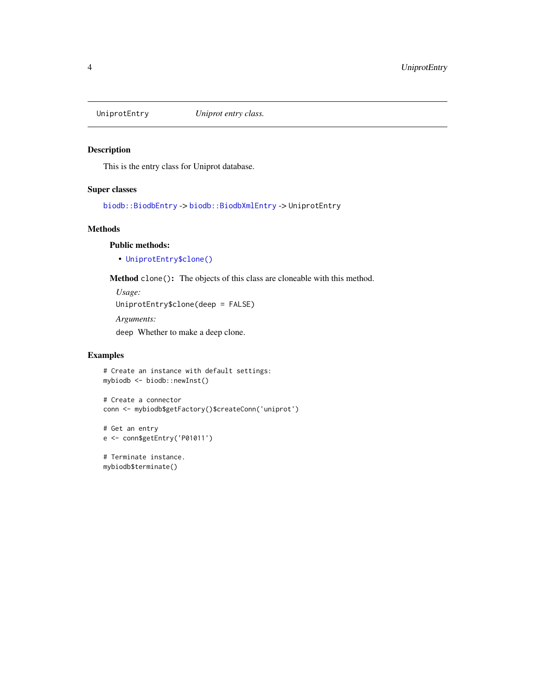<span id="page-3-0"></span>

#### Description

This is the entry class for Uniprot database.

#### Super classes

[biodb::BiodbEntry](#page-0-0) -> [biodb::BiodbXmlEntry](#page-0-0) -> UniprotEntry

#### Methods

#### Public methods:

• [UniprotEntry\\$clone\(\)](#page-2-1)

Method clone(): The objects of this class are cloneable with this method.

*Usage:* UniprotEntry\$clone(deep = FALSE) *Arguments:*

deep Whether to make a deep clone.

#### Examples

```
# Create an instance with default settings:
mybiodb <- biodb::newInst()
```

```
# Create a connector
conn <- mybiodb$getFactory()$createConn('uniprot')
```

```
# Get an entry
e <- conn$getEntry('P01011')
```

```
# Terminate instance.
mybiodb$terminate()
```